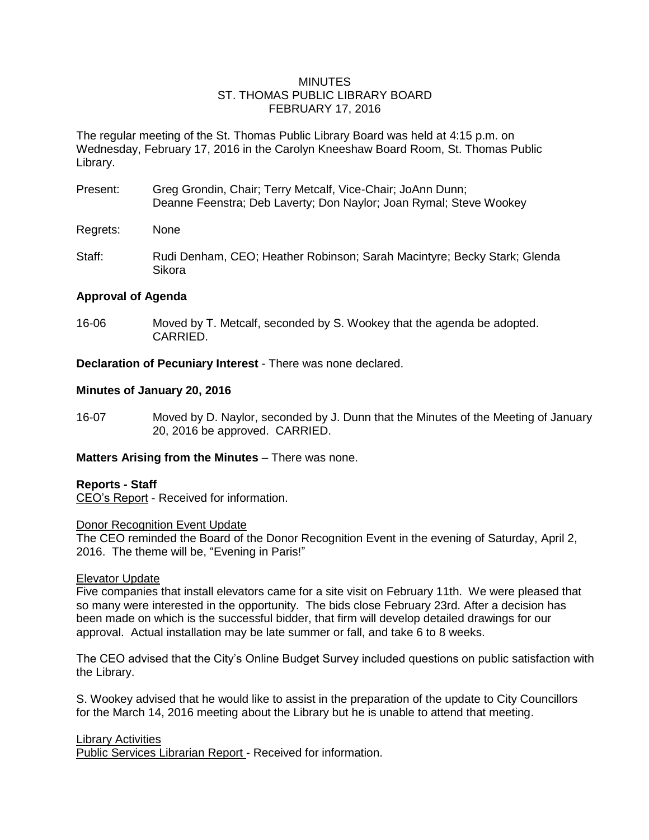### **MINUTES** ST. THOMAS PUBLIC LIBRARY BOARD FEBRUARY 17, 2016

The regular meeting of the St. Thomas Public Library Board was held at 4:15 p.m. on Wednesday, February 17, 2016 in the Carolyn Kneeshaw Board Room, St. Thomas Public Library.

- Present: Greg Grondin, Chair; Terry Metcalf, Vice-Chair; JoAnn Dunn; Deanne Feenstra; Deb Laverty; Don Naylor; Joan Rymal; Steve Wookey
- Regrets: None
- Staff: Rudi Denham, CEO; Heather Robinson; Sarah Macintyre; Becky Stark; Glenda Sikora

# **Approval of Agenda**

16-06 Moved by T. Metcalf, seconded by S. Wookey that the agenda be adopted. CARRIED.

**Declaration of Pecuniary Interest** - There was none declared.

# **Minutes of January 20, 2016**

16-07 Moved by D. Naylor, seconded by J. Dunn that the Minutes of the Meeting of January 20, 2016 be approved. CARRIED.

# **Matters Arising from the Minutes** – There was none.

# **Reports - Staff**

CEO's Report - Received for information.

### Donor Recognition Event Update

The CEO reminded the Board of the Donor Recognition Event in the evening of Saturday, April 2, 2016. The theme will be, "Evening in Paris!"

# Elevator Update

Five companies that install elevators came for a site visit on February 11th. We were pleased that so many were interested in the opportunity. The bids close February 23rd. After a decision has been made on which is the successful bidder, that firm will develop detailed drawings for our approval. Actual installation may be late summer or fall, and take 6 to 8 weeks.

The CEO advised that the City's Online Budget Survey included questions on public satisfaction with the Library.

S. Wookey advised that he would like to assist in the preparation of the update to City Councillors for the March 14, 2016 meeting about the Library but he is unable to attend that meeting.

### Library Activities

Public Services Librarian Report - Received for information.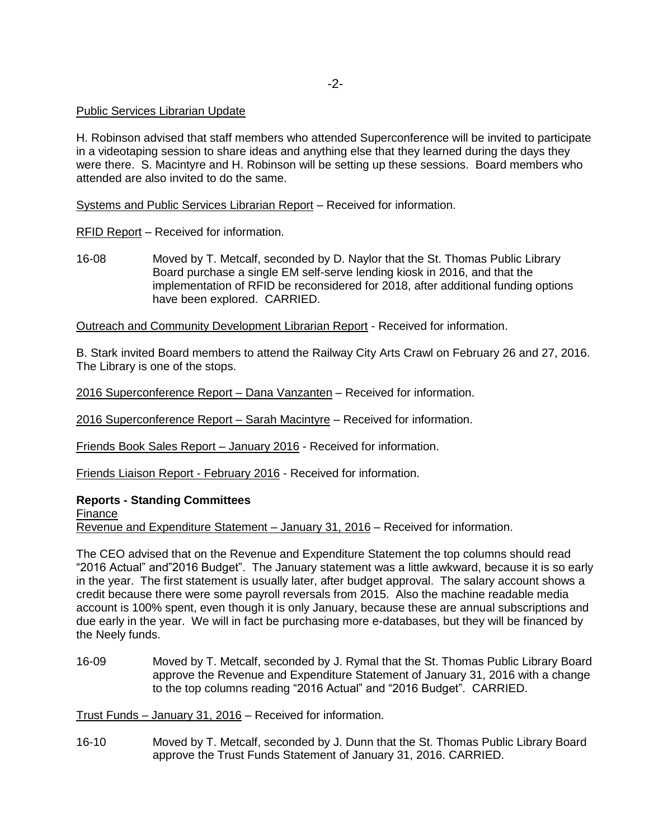### Public Services Librarian Update

H. Robinson advised that staff members who attended Superconference will be invited to participate in a videotaping session to share ideas and anything else that they learned during the days they were there. S. Macintyre and H. Robinson will be setting up these sessions. Board members who attended are also invited to do the same.

Systems and Public Services Librarian Report – Received for information.

RFID Report – Received for information.

16-08 Moved by T. Metcalf, seconded by D. Naylor that the St. Thomas Public Library Board purchase a single EM self-serve lending kiosk in 2016, and that the implementation of RFID be reconsidered for 2018, after additional funding options have been explored. CARRIED.

Outreach and Community Development Librarian Report - Received for information.

B. Stark invited Board members to attend the Railway City Arts Crawl on February 26 and 27, 2016. The Library is one of the stops.

2016 Superconference Report – Dana Vanzanten – Received for information.

2016 Superconference Report – Sarah Macintyre – Received for information.

Friends Book Sales Report – January 2016 - Received for information.

Friends Liaison Report - February 2016 - Received for information.

### **Reports - Standing Committees**

Finance

Revenue and Expenditure Statement – January 31, 2016 – Received for information.

The CEO advised that on the Revenue and Expenditure Statement the top columns should read "2016 Actual" and"2016 Budget". The January statement was a little awkward, because it is so early in the year. The first statement is usually later, after budget approval. The salary account shows a credit because there were some payroll reversals from 2015. Also the machine readable media account is 100% spent, even though it is only January, because these are annual subscriptions and due early in the year. We will in fact be purchasing more e-databases, but they will be financed by the Neely funds.

16-09 Moved by T. Metcalf, seconded by J. Rymal that the St. Thomas Public Library Board approve the Revenue and Expenditure Statement of January 31, 2016 with a change to the top columns reading "2016 Actual" and "2016 Budget". CARRIED.

Trust Funds – January 31, 2016 – Received for information.

16-10 Moved by T. Metcalf, seconded by J. Dunn that the St. Thomas Public Library Board approve the Trust Funds Statement of January 31, 2016. CARRIED.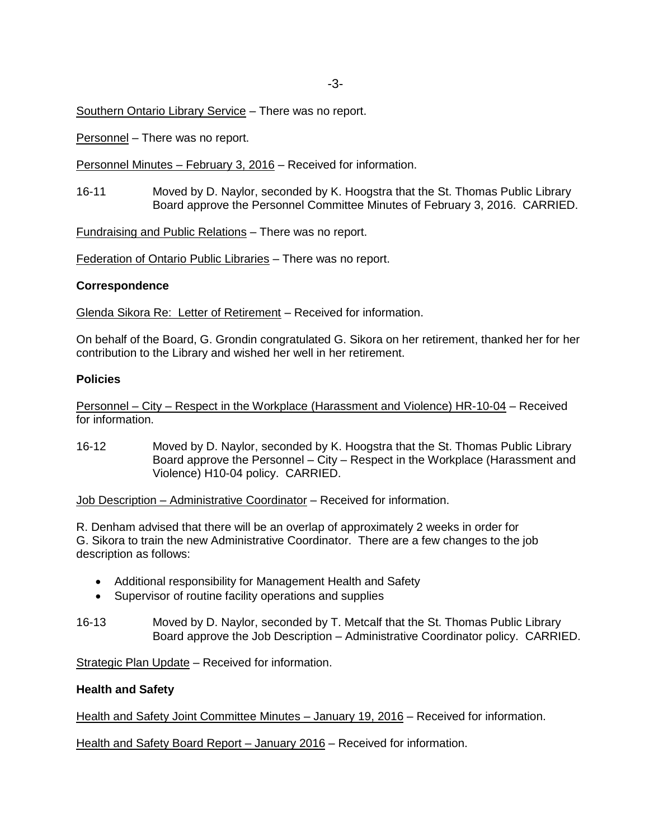Southern Ontario Library Service – There was no report.

Personnel – There was no report.

Personnel Minutes – February 3, 2016 – Received for information.

16-11 Moved by D. Naylor, seconded by K. Hoogstra that the St. Thomas Public Library Board approve the Personnel Committee Minutes of February 3, 2016. CARRIED.

Fundraising and Public Relations – There was no report.

Federation of Ontario Public Libraries – There was no report.

#### **Correspondence**

Glenda Sikora Re: Letter of Retirement – Received for information.

On behalf of the Board, G. Grondin congratulated G. Sikora on her retirement, thanked her for her contribution to the Library and wished her well in her retirement.

### **Policies**

Personnel – City – Respect in the Workplace (Harassment and Violence) HR-10-04 – Received for information.

16-12 Moved by D. Naylor, seconded by K. Hoogstra that the St. Thomas Public Library Board approve the Personnel – City – Respect in the Workplace (Harassment and Violence) H10-04 policy. CARRIED.

Job Description – Administrative Coordinator – Received for information.

R. Denham advised that there will be an overlap of approximately 2 weeks in order for G. Sikora to train the new Administrative Coordinator. There are a few changes to the job description as follows:

- Additional responsibility for Management Health and Safety
- Supervisor of routine facility operations and supplies
- 16-13 Moved by D. Naylor, seconded by T. Metcalf that the St. Thomas Public Library Board approve the Job Description – Administrative Coordinator policy. CARRIED.

Strategic Plan Update – Received for information.

#### **Health and Safety**

Health and Safety Joint Committee Minutes - January 19, 2016 - Received for information.

Health and Safety Board Report – January 2016 – Received for information.